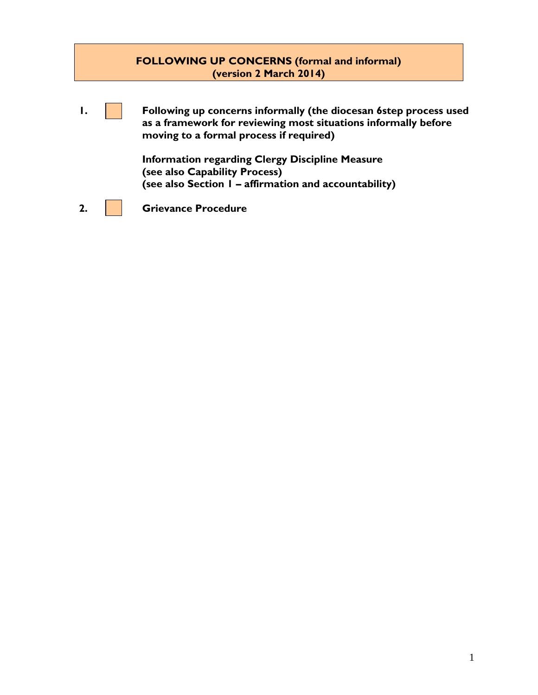#### **FOLLOWING UP CONCERNS (formal and informal) (version 2 March 2014)**

**1. Following up concerns informally (the diocesan 6step process used as a framework for reviewing most situations informally before moving to a formal process if required) Information regarding Clergy Discipline Measure**

**(see also Capability Process) (see also Section 1 – affirmation and accountability)**

**2. Grievance Procedure**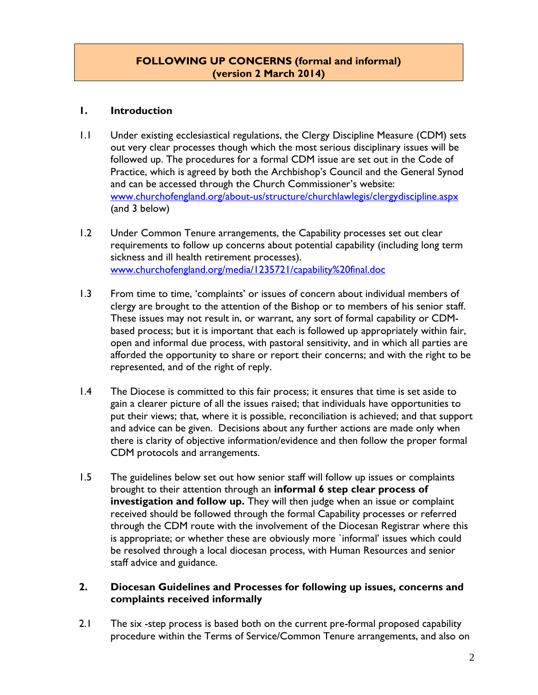#### **FOLLOWING UP CONCERNS (formal and informal) (version 2 March 2014)**

#### **1. Introduction**

- 1.1 Under existing ecclesiastical regulations, the Clergy Discipline Measure (CDM) sets out very clear processes though which the most serious disciplinary issues will be followed up. The procedures for a formal CDM issue are set out in the Code of Practice, which is agreed by both the Archbishop's Council and the General Synod and can be accessed through the Church Commissioner's website: [www.churchofengland.org/about-us/structure/churchlawlegis/clergydiscipline.aspx](http://www.churchofengland.org/about-us/structure/churchlawlegis/clergydiscipline.aspx) (and 3 below)
- 1.2 Under Common Tenure arrangements, the Capability processes set out clear requirements to follow up concerns about potential capability (including long term sickness and ill health retirement processes). [www.churchofengland.org/media/1235721/capability%20final.doc](http://www.churchofengland.org/media/1235721/capability%20final.doc)
- 1.3 From time to time, 'complaints' or issues of concern about individual members of clergy are brought to the attention of the Bishop or to members of his senior staff. These issues may not result in, or warrant, any sort of formal capability or CDMbased process; but it is important that each is followed up appropriately within fair, open and informal due process, with pastoral sensitivity, and in which all parties are afforded the opportunity to share or report their concerns; and with the right to be represented, and of the right of reply.
- 1.4 The Diocese is committed to this fair process; it ensures that time is set aside to gain a clearer picture of all the issues raised; that individuals have opportunities to put their views; that, where it is possible, reconciliation is achieved; and that support and advice can be given. Decisions about any further actions are made only when there is clarity of objective information/evidence and then follow the proper formal CDM protocols and arrangements.
- 1.5 The guidelines below set out how senior staff will follow up issues or complaints brought to their attention through an **informal 6 step clear process of investigation and follow up.** They will then judge when an issue or complaint received should be followed through the formal Capability processes or referred through the CDM route with the involvement of the Diocesan Registrar where this is appropriate; or whether these are obviously more 'informal' issues which could be resolved through a local diocesan process, with Human Resources and senior staff advice and guidance.

#### **2. Diocesan Guidelines and Processes for following up issues, concerns and complaints received informally**

2.1 The six-step process is based both on the current pre-formal proposed capability procedure within the Terms of Service/Common Tenure arrangements, and also on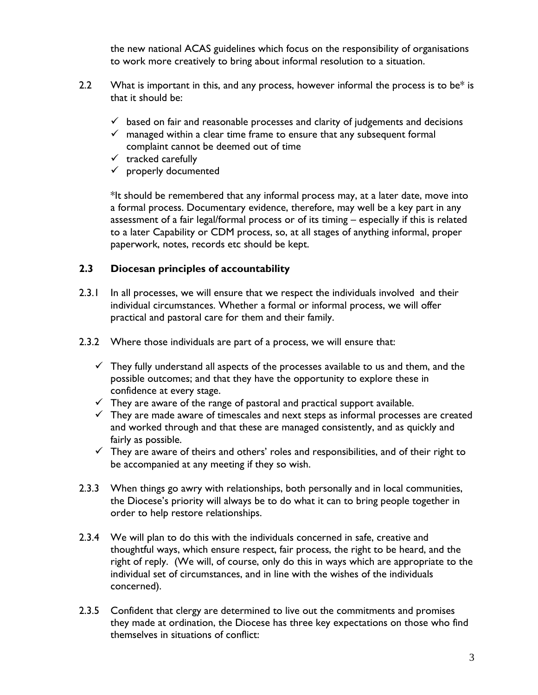the new national ACAS guidelines which focus on the responsibility of organisations to work more creatively to bring about informal resolution to a situation.

- 2.2 What is important in this, and any process, however informal the process is to be $*$  is that it should be:
	- $\checkmark$  based on fair and reasonable processes and clarity of judgements and decisions
	- $\checkmark$  managed within a clear time frame to ensure that any subsequent formal complaint cannot be deemed out of time
	- $\checkmark$  tracked carefully
	- $\checkmark$  properly documented

\*It should be remembered that any informal process may, at a later date, move into a formal process. Documentary evidence, therefore, may well be a key part in any assessment of a fair legal/formal process or of its timing – especially if this is related to a later Capability or CDM process, so, at all stages of anything informal, proper paperwork, notes, records etc should be kept.

#### **2.3 Diocesan principles of accountability**

- 2.3.1 In all processes, we will ensure that we respect the individuals involved and their individual circumstances. Whether a formal or informal process, we will offer practical and pastoral care for them and their family.
- 2.3.2 Where those individuals are part of a process, we will ensure that:
	- $\checkmark$  They fully understand all aspects of the processes available to us and them, and the possible outcomes; and that they have the opportunity to explore these in confidence at every stage.
	- $\checkmark$  They are aware of the range of pastoral and practical support available.
	- $\checkmark$  They are made aware of timescales and next steps as informal processes are created and worked through and that these are managed consistently, and as quickly and fairly as possible.
	- $\checkmark$  They are aware of theirs and others' roles and responsibilities, and of their right to be accompanied at any meeting if they so wish.
- 2.3.3 When things go awry with relationships, both personally and in local communities, the Diocese's priority will always be to do what it can to bring people together in order to help restore relationships.
- 2.3.4 We will plan to do this with the individuals concerned in safe, creative and thoughtful ways, which ensure respect, fair process, the right to be heard, and the right of reply. (We will, of course, only do this in ways which are appropriate to the individual set of circumstances, and in line with the wishes of the individuals concerned).
- 2.3.5 Confident that clergy are determined to live out the commitments and promises they made at ordination, the Diocese has three key expectations on those who find themselves in situations of conflict: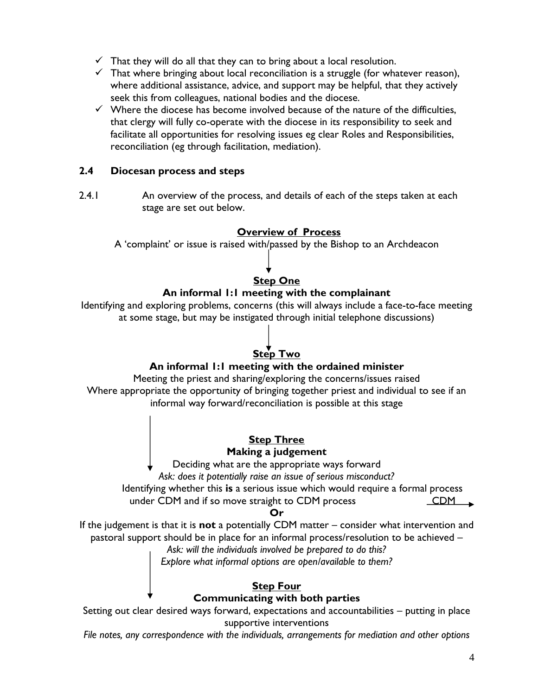- $\checkmark$  That they will do all that they can to bring about a local resolution.
- $\checkmark$  That where bringing about local reconciliation is a struggle (for whatever reason), where additional assistance, advice, and support may be helpful, that they actively seek this from colleagues, national bodies and the diocese.
- $\checkmark$  Where the diocese has become involved because of the nature of the difficulties, that clergy will fully co-operate with the diocese in its responsibility to seek and facilitate all opportunities for resolving issues eg clear Roles and Responsibilities, reconciliation (eg through facilitation, mediation).

#### **2.4 Diocesan process and steps**

2.4.1 An overview of the process, and details of each of the steps taken at each stage are set out below.

#### **Overview of Process**

A 'complaint' or issue is raised with/passed by the Bishop to an Archdeacon

#### **Step One**

#### **An informal 1:1 meeting with the complainant**

Identifying and exploring problems, concerns (this will always include a face-to-face meeting at some stage, but may be instigated through initial telephone discussions)

# **Step Two**

#### **An informal 1:1 meeting with the ordained minister**

Meeting the priest and sharing/exploring the concerns/issues raised Where appropriate the opportunity of bringing together priest and individual to see if an informal way forward/reconciliation is possible at this stage

#### **Step Three**

#### **Making a judgement**

Deciding what are the appropriate ways forward

*Ask: does it potentially raise an issue of serious misconduct?*

Identifying whether this **is** a serious issue which would require a formal process

under CDM and if so move straight to CDM process CDM

#### **Or**

If the judgement is that it is **not** a potentially CDM matter – consider what intervention and pastoral support should be in place for an informal process/resolution to be achieved –

*Ask: will the individuals involved be prepared to do this?* 

*Explore what informal options are open/available to them?*

#### **Step Four Communicating with both parties**

Setting out clear desired ways forward, expectations and accountabilities – putting in place supportive interventions

*File notes, any correspondence with the individuals, arrangements for mediation and other options*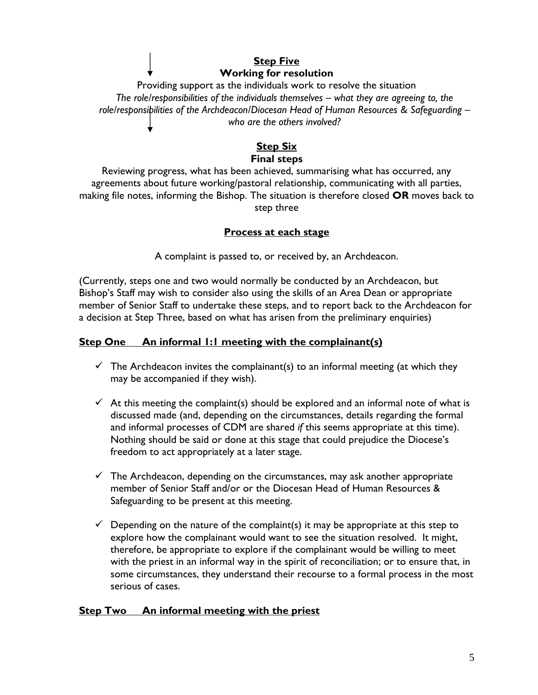#### **Step Five Working for resolution**

Providing support as the individuals work to resolve the situation *The role/responsibilities of the individuals themselves – what they are agreeing to, the role/responsibilities of the Archdeacon/Diocesan Head of Human Resources & Safeguarding – who are the others involved?*

#### **Step Six Final steps**

Reviewing progress, what has been achieved, summarising what has occurred, any agreements about future working/pastoral relationship, communicating with all parties, making file notes, informing the Bishop. The situation is therefore closed **OR** moves back to step three

#### **Process at each stage**

A complaint is passed to, or received by, an Archdeacon.

(Currently, steps one and two would normally be conducted by an Archdeacon, but Bishop's Staff may wish to consider also using the skills of an Area Dean or appropriate member of Senior Staff to undertake these steps, and to report back to the Archdeacon for a decision at Step Three, based on what has arisen from the preliminary enquiries)

#### **Step One An informal 1:1 meeting with the complainant(s)**

- $\checkmark$  The Archdeacon invites the complainant(s) to an informal meeting (at which they may be accompanied if they wish).
- $\checkmark$  At this meeting the complaint(s) should be explored and an informal note of what is discussed made (and, depending on the circumstances, details regarding the formal and informal processes of CDM are shared *if* this seems appropriate at this time). Nothing should be said or done at this stage that could prejudice the Diocese's freedom to act appropriately at a later stage.
- $\checkmark$  The Archdeacon, depending on the circumstances, may ask another appropriate member of Senior Staff and/or or the Diocesan Head of Human Resources & Safeguarding to be present at this meeting.
- $\checkmark$  Depending on the nature of the complaint(s) it may be appropriate at this step to explore how the complainant would want to see the situation resolved. It might, therefore, be appropriate to explore if the complainant would be willing to meet with the priest in an informal way in the spirit of reconciliation; or to ensure that, in some circumstances, they understand their recourse to a formal process in the most serious of cases.

### **Step Two An informal meeting with the priest**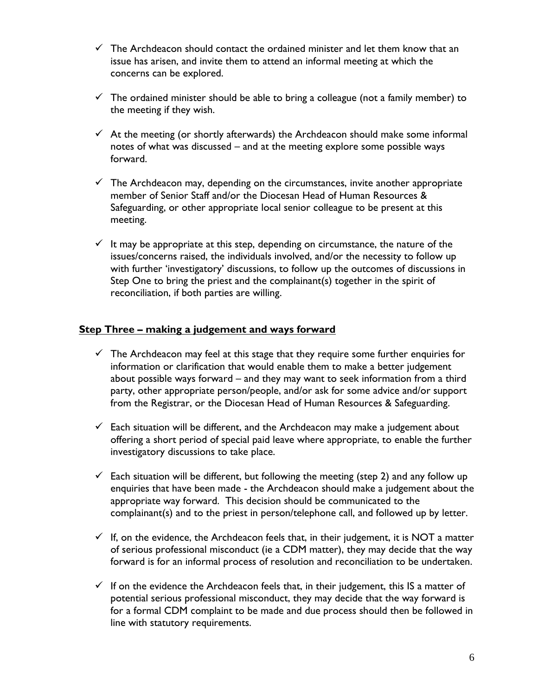- $\checkmark$  The Archdeacon should contact the ordained minister and let them know that an issue has arisen, and invite them to attend an informal meeting at which the concerns can be explored.
- $\checkmark$  The ordained minister should be able to bring a colleague (not a family member) to the meeting if they wish.
- $\checkmark$  At the meeting (or shortly afterwards) the Archdeacon should make some informal notes of what was discussed – and at the meeting explore some possible ways forward.
- $\checkmark$  The Archdeacon may, depending on the circumstances, invite another appropriate member of Senior Staff and/or the Diocesan Head of Human Resources & Safeguarding, or other appropriate local senior colleague to be present at this meeting.
- $\checkmark$  It may be appropriate at this step, depending on circumstance, the nature of the issues/concerns raised, the individuals involved, and/or the necessity to follow up with further 'investigatory' discussions, to follow up the outcomes of discussions in Step One to bring the priest and the complainant(s) together in the spirit of reconciliation, if both parties are willing.

#### **Step Three – making a judgement and ways forward**

- $\checkmark$  The Archdeacon may feel at this stage that they require some further enquiries for information or clarification that would enable them to make a better judgement about possible ways forward – and they may want to seek information from a third party, other appropriate person/people, and/or ask for some advice and/or support from the Registrar, or the Diocesan Head of Human Resources & Safeguarding.
- $\checkmark$  Each situation will be different, and the Archdeacon may make a judgement about offering a short period of special paid leave where appropriate, to enable the further investigatory discussions to take place.
- $\checkmark$  Each situation will be different, but following the meeting (step 2) and any follow up enquiries that have been made - the Archdeacon should make a judgement about the appropriate way forward. This decision should be communicated to the complainant(s) and to the priest in person/telephone call, and followed up by letter.
- $\checkmark$  If, on the evidence, the Archdeacon feels that, in their judgement, it is NOT a matter of serious professional misconduct (ie a CDM matter), they may decide that the way forward is for an informal process of resolution and reconciliation to be undertaken.
- $\checkmark$  If on the evidence the Archdeacon feels that, in their judgement, this IS a matter of potential serious professional misconduct, they may decide that the way forward is for a formal CDM complaint to be made and due process should then be followed in line with statutory requirements.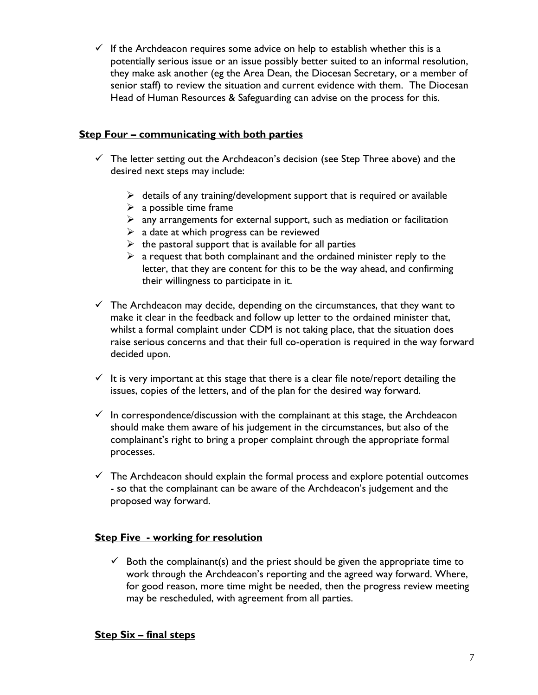$\checkmark$  If the Archdeacon requires some advice on help to establish whether this is a potentially serious issue or an issue possibly better suited to an informal resolution, they make ask another (eg the Area Dean, the Diocesan Secretary, or a member of senior staff) to review the situation and current evidence with them. The Diocesan Head of Human Resources & Safeguarding can advise on the process for this.

#### **Step Four – communicating with both parties**

- $\checkmark$  The letter setting out the Archdeacon's decision (see Step Three above) and the desired next steps may include:
	- $\triangleright$  details of any training/development support that is required or available
	- $\triangleright$  a possible time frame
	- $\triangleright$  any arrangements for external support, such as mediation or facilitation
	- $\triangleright$  a date at which progress can be reviewed
	- $\triangleright$  the pastoral support that is available for all parties
	- $\triangleright$  a request that both complainant and the ordained minister reply to the letter, that they are content for this to be the way ahead, and confirming their willingness to participate in it.
- $\checkmark$  The Archdeacon may decide, depending on the circumstances, that they want to make it clear in the feedback and follow up letter to the ordained minister that, whilst a formal complaint under CDM is not taking place, that the situation does raise serious concerns and that their full co-operation is required in the way forward decided upon.
- $\checkmark$  It is very important at this stage that there is a clear file note/report detailing the issues, copies of the letters, and of the plan for the desired way forward.
- $\checkmark$  In correspondence/discussion with the complainant at this stage, the Archdeacon should make them aware of his judgement in the circumstances, but also of the complainant's right to bring a proper complaint through the appropriate formal processes.
- $\checkmark$  The Archdeacon should explain the formal process and explore potential outcomes - so that the complainant can be aware of the Archdeacon's judgement and the proposed way forward.

#### **Step Five - working for resolution**

 $\checkmark$  Both the complainant(s) and the priest should be given the appropriate time to work through the Archdeacon's reporting and the agreed way forward. Where, for good reason, more time might be needed, then the progress review meeting may be rescheduled, with agreement from all parties.

#### **Step Six – final steps**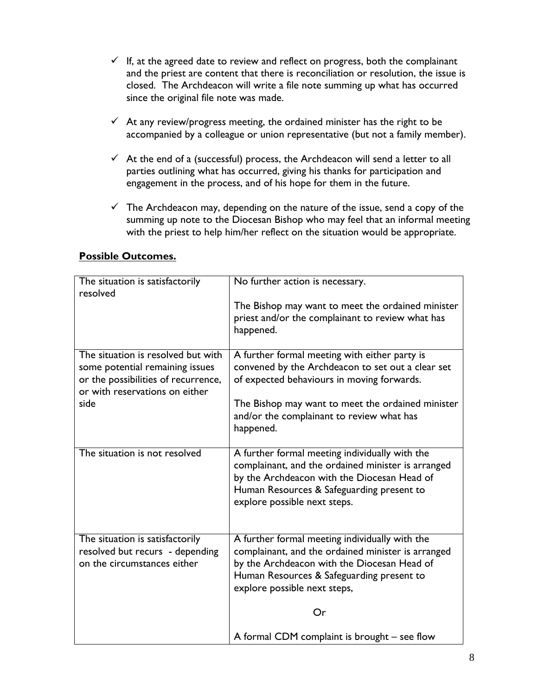- $\checkmark$  If, at the agreed date to review and reflect on progress, both the complainant and the priest are content that there is reconciliation or resolution, the issue is closed. The Archdeacon will write a file note summing up what has occurred since the original file note was made.
- $\checkmark$  At any review/progress meeting, the ordained minister has the right to be accompanied by a colleague or union representative (but not a family member).
- $\checkmark$  At the end of a (successful) process, the Archdeacon will send a letter to all parties outlining what has occurred, giving his thanks for participation and engagement in the process, and of his hope for them in the future.
- $\checkmark$  The Archdeacon may, depending on the nature of the issue, send a copy of the summing up note to the Diocesan Bishop who may feel that an informal meeting with the priest to help him/her reflect on the situation would be appropriate.

| The situation is satisfactorily<br>resolved                                                                                                    | No further action is necessary.                                                                                                                                                                                                  |
|------------------------------------------------------------------------------------------------------------------------------------------------|----------------------------------------------------------------------------------------------------------------------------------------------------------------------------------------------------------------------------------|
|                                                                                                                                                | The Bishop may want to meet the ordained minister<br>priest and/or the complainant to review what has<br>happened.                                                                                                               |
| The situation is resolved but with<br>some potential remaining issues<br>or the possibilities of recurrence,<br>or with reservations on either | A further formal meeting with either party is<br>convened by the Archdeacon to set out a clear set<br>of expected behaviours in moving forwards.                                                                                 |
| side                                                                                                                                           | The Bishop may want to meet the ordained minister<br>and/or the complainant to review what has<br>happened.                                                                                                                      |
| The situation is not resolved                                                                                                                  | A further formal meeting individually with the<br>complainant, and the ordained minister is arranged<br>by the Archdeacon with the Diocesan Head of<br>Human Resources & Safeguarding present to<br>explore possible next steps. |
| The situation is satisfactorily<br>resolved but recurs - depending<br>on the circumstances either                                              | A further formal meeting individually with the<br>complainant, and the ordained minister is arranged<br>by the Archdeacon with the Diocesan Head of<br>Human Resources & Safeguarding present to<br>explore possible next steps, |
|                                                                                                                                                | Or                                                                                                                                                                                                                               |
|                                                                                                                                                | A formal CDM complaint is brought - see flow                                                                                                                                                                                     |

#### **Possible Outcomes.**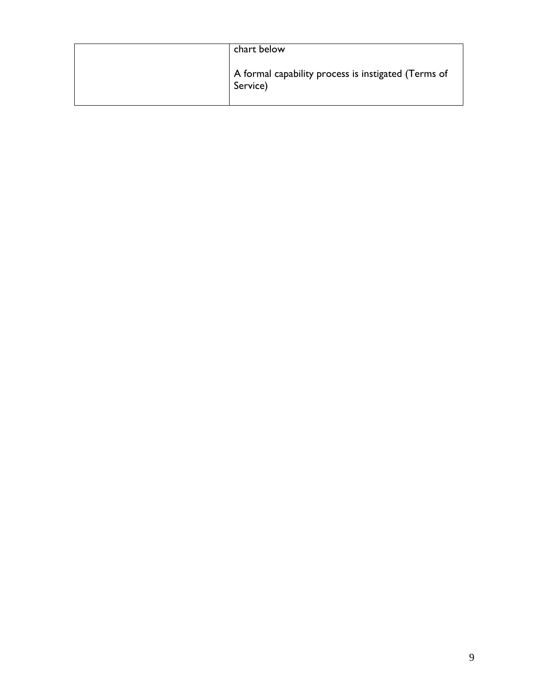| chart below                                                     |
|-----------------------------------------------------------------|
| A formal capability process is instigated (Terms of<br>Service) |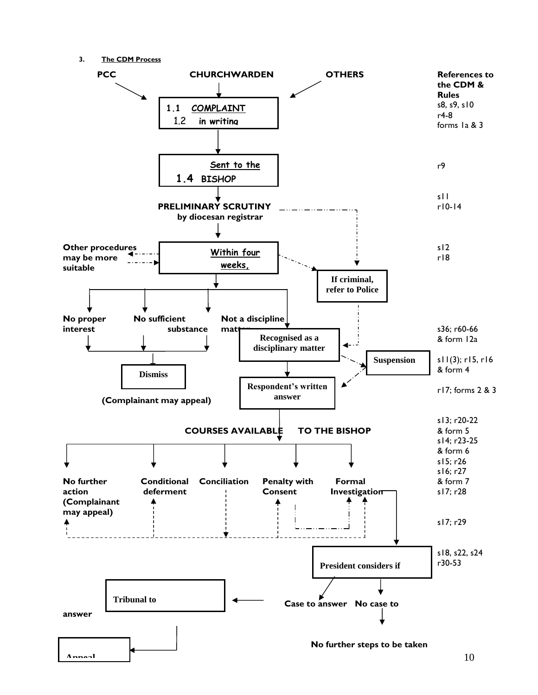**3. The CDM Process**

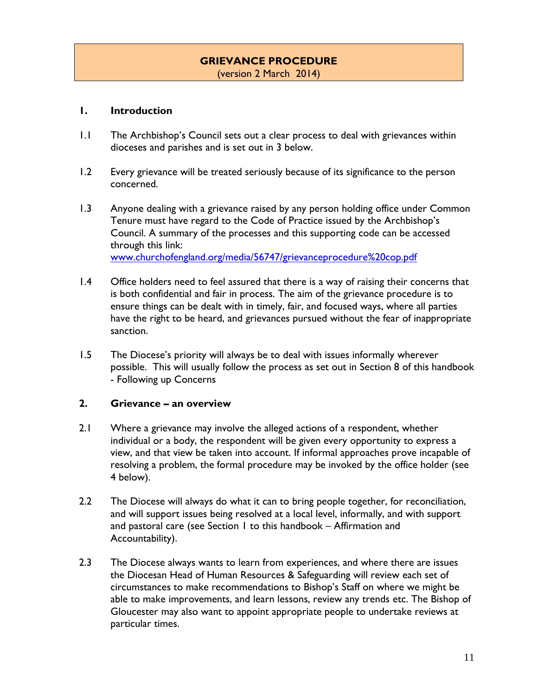# **GRIEVANCE PROCEDURE**

(version 2 March 2014)

#### **1. Introduction**

- 1.1 The Archbishop's Council sets out a clear process to deal with grievances within dioceses and parishes and is set out in 3 below.
- 1.2 Every grievance will be treated seriously because of its significance to the person concerned.
- 1.3 Anyone dealing with a grievance raised by any person holding office under Common Tenure must have regard to the Code of Practice issued by the Archbishop's Council. A summary of the processes and this supporting code can be accessed through this link: [www.churchofengland.org/media/56747/grievanceprocedure%20cop.pdf](http://www.churchofengland.org/media/56747/grievanceprocedure%20cop.pdf)
- 1.4 Office holders need to feel assured that there is a way of raising their concerns that is both confidential and fair in process. The aim of the grievance procedure is to ensure things can be dealt with in timely, fair, and focused ways, where all parties have the right to be heard, and grievances pursued without the fear of inappropriate sanction.
- 1.5 The Diocese's priority will always be to deal with issues informally wherever possible. This will usually follow the process as set out in Section 8 of this handbook - Following up Concerns

#### **2. Grievance – an overview**

- 2.1 Where a grievance may involve the alleged actions of a respondent, whether individual or a body, the respondent will be given every opportunity to express a view, and that view be taken into account. If informal approaches prove incapable of resolving a problem, the formal procedure may be invoked by the office holder (see 4 below).
- 2.2 The Diocese will always do what it can to bring people together, for reconciliation, and will support issues being resolved at a local level, informally, and with support and pastoral care (see Section 1 to this handbook – Affirmation and Accountability).
- 2.3 The Diocese always wants to learn from experiences, and where there are issues the Diocesan Head of Human Resources & Safeguarding will review each set of circumstances to make recommendations to Bishop's Staff on where we might be able to make improvements, and learn lessons, review any trends etc. The Bishop of Gloucester may also want to appoint appropriate people to undertake reviews at particular times.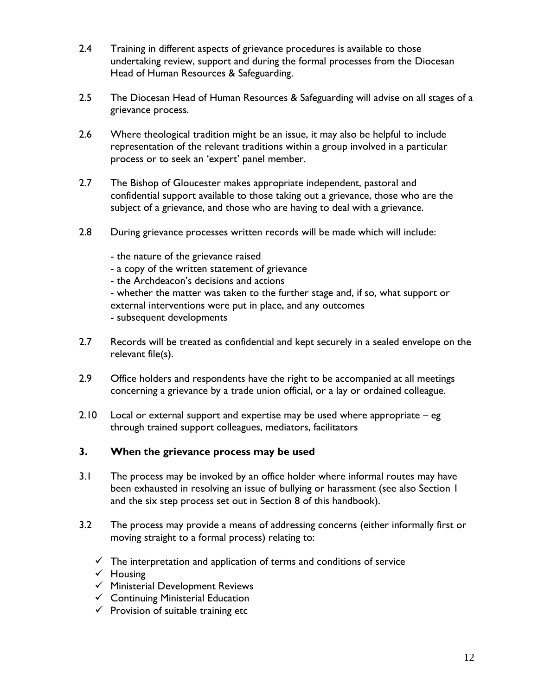- 2.4 Training in different aspects of grievance procedures is available to those undertaking review, support and during the formal processes from the Diocesan Head of Human Resources & Safeguarding.
- 2.5 The Diocesan Head of Human Resources & Safeguarding will advise on all stages of a grievance process.
- 2.6 Where theological tradition might be an issue, it may also be helpful to include representation of the relevant traditions within a group involved in a particular process or to seek an 'expert' panel member.
- 2.7 The Bishop of Gloucester makes appropriate independent, pastoral and confidential support available to those taking out a grievance, those who are the subject of a grievance, and those who are having to deal with a grievance.
- 2.8 During grievance processes written records will be made which will include:
	- the nature of the grievance raised
	- a copy of the written statement of grievance
	- the Archdeacon's decisions and actions

- whether the matter was taken to the further stage and, if so, what support or external interventions were put in place, and any outcomes - subsequent developments

- 2.7 Records will be treated as confidential and kept securely in a sealed envelope on the relevant file(s).
- 2.9 Office holders and respondents have the right to be accompanied at all meetings concerning a grievance by a trade union official, or a lay or ordained colleague.
- 2.10 Local or external support and expertise may be used where appropriate eg through trained support colleagues, mediators, facilitators

#### **3. When the grievance process may be used**

- 3.1 The process may be invoked by an office holder where informal routes may have been exhausted in resolving an issue of bullying or harassment (see also Section 1 and the six step process set out in Section 8 of this handbook).
- 3.2 The process may provide a means of addressing concerns (either informally first or moving straight to a formal process) relating to:
	- $\checkmark$  The interpretation and application of terms and conditions of service
	- $\checkmark$  Housing
	- $\checkmark$  Ministerial Development Reviews
	- $\checkmark$  Continuing Ministerial Education
	- $\checkmark$  Provision of suitable training etc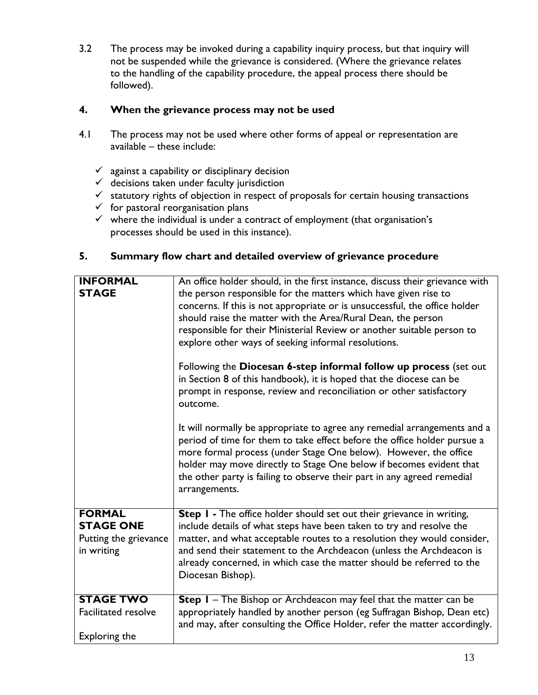3.2 The process may be invoked during a capability inquiry process, but that inquiry will not be suspended while the grievance is considered. (Where the grievance relates to the handling of the capability procedure, the appeal process there should be followed).

#### **4. When the grievance process may not be used**

- 4.1 The process may not be used where other forms of appeal or representation are available – these include:
	- $\checkmark$  against a capability or disciplinary decision
	- $\checkmark$  decisions taken under faculty jurisdiction
	- $\checkmark$  statutory rights of objection in respect of proposals for certain housing transactions
	- $\checkmark$  for pastoral reorganisation plans
	- $\checkmark$  where the individual is under a contract of employment (that organisation's processes should be used in this instance).

#### **5. Summary flow chart and detailed overview of grievance procedure**

| <b>INFORMAL</b><br><b>STAGE</b>                                          | An office holder should, in the first instance, discuss their grievance with<br>the person responsible for the matters which have given rise to<br>concerns. If this is not appropriate or is unsuccessful, the office holder<br>should raise the matter with the Area/Rural Dean, the person<br>responsible for their Ministerial Review or another suitable person to<br>explore other ways of seeking informal resolutions.<br>Following the Diocesan 6-step informal follow up process (set out<br>in Section 8 of this handbook), it is hoped that the diocese can be<br>prompt in response, review and reconciliation or other satisfactory<br>outcome.<br>It will normally be appropriate to agree any remedial arrangements and a<br>period of time for them to take effect before the office holder pursue a<br>more formal process (under Stage One below). However, the office<br>holder may move directly to Stage One below if becomes evident that<br>the other party is failing to observe their part in any agreed remedial<br>arrangements. |
|--------------------------------------------------------------------------|--------------------------------------------------------------------------------------------------------------------------------------------------------------------------------------------------------------------------------------------------------------------------------------------------------------------------------------------------------------------------------------------------------------------------------------------------------------------------------------------------------------------------------------------------------------------------------------------------------------------------------------------------------------------------------------------------------------------------------------------------------------------------------------------------------------------------------------------------------------------------------------------------------------------------------------------------------------------------------------------------------------------------------------------------------------|
| <b>FORMAL</b><br><b>STAGE ONE</b><br>Putting the grievance<br>in writing | Step I - The office holder should set out their grievance in writing,<br>include details of what steps have been taken to try and resolve the<br>matter, and what acceptable routes to a resolution they would consider,<br>and send their statement to the Archdeacon (unless the Archdeacon is<br>already concerned, in which case the matter should be referred to the<br>Diocesan Bishop).                                                                                                                                                                                                                                                                                                                                                                                                                                                                                                                                                                                                                                                               |
| <b>STAGE TWO</b><br><b>Facilitated resolve</b><br>Exploring the          | Step I - The Bishop or Archdeacon may feel that the matter can be<br>appropriately handled by another person (eg Suffragan Bishop, Dean etc)<br>and may, after consulting the Office Holder, refer the matter accordingly.                                                                                                                                                                                                                                                                                                                                                                                                                                                                                                                                                                                                                                                                                                                                                                                                                                   |